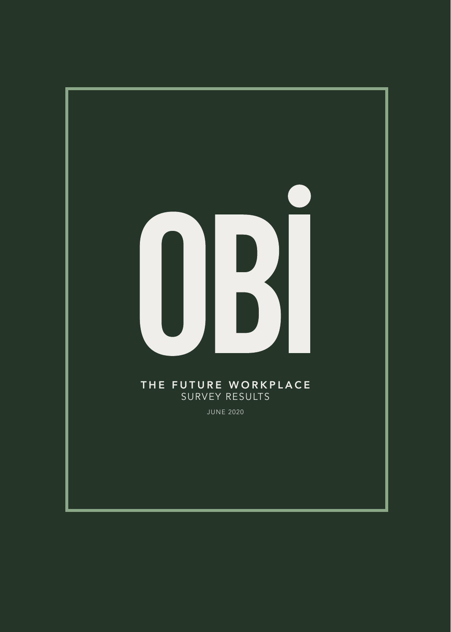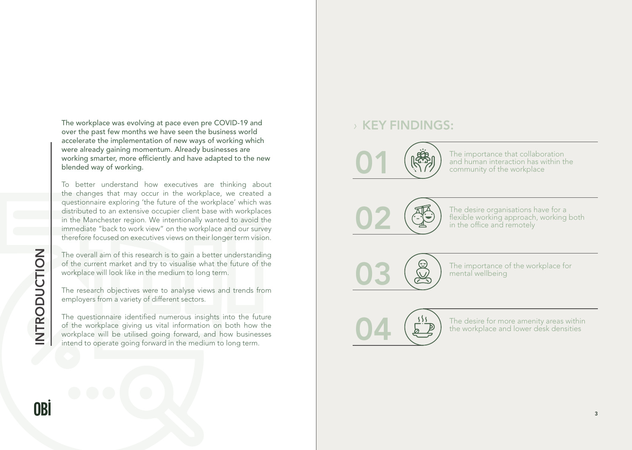#### The importance that collaboration and human interaction has within the community of the workplace

The desire organisations have for a flexible working approach, working both in the office and remotely

The importance of the workplace for mental wellbeing

The desire for more amenity areas within the workplace and lower desk densities

The workplace was evolving at pace even pre COVID-19 and over the past few months we have seen the business world accelerate the implementation of new ways of working which were already gaining momentum. Already businesses are working smarter, more efficiently and have adapted to the new blended way of working.

INTRODUCTION INTRODUCTION

OBİ

To better understand how executives are thinking about the changes that may occur in the workplace, we created a questionnaire exploring 'the future of the workplace' which was distributed to an extensive occupier client base with workplaces in the Manchester region. We intentionally wanted to avoid the immediate "back to work view" on the workplace and our survey therefore focused on executives views on their longer term vision.

The overall aim of this research is to gain a better understanding of the current market and try to visualise what the future of the workplace will look like in the medium to long term.

The research objectives were to analyse views and trends from employers from a variety of different sectors.

The questionnaire identified numerous insights into the future of the workplace giving us vital information on both how the workplace will be utilised going forward, and how businesses intend to operate going forward in the medium to long term.

## *›* KEY FINDINGS:





04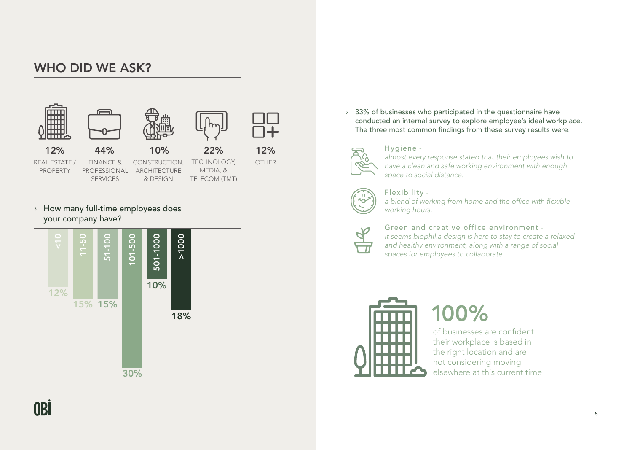

*›* How many full-time employees does your company have?

*›* 33% of businesses who participated in the questionnaire have conducted an internal survey to explore employee's ideal workplace. The three most common findings from these survey results were:



Hygiene *almost every response stated that their employees wish to have a clean and safe working environment with enough space to social distance.* 



Flexibility *a blend of working from home and the office with flexible working hours.*



Green and creative office environment *it seems biophilia design is here to stay to create a relaxed and healthy environment, along with a range of social spaces for employees to collaborate.*





## WHO DID WE ASK?

of businesses are confident their workplace is based in the right location and are not considering moving elsewhere at this current time

100%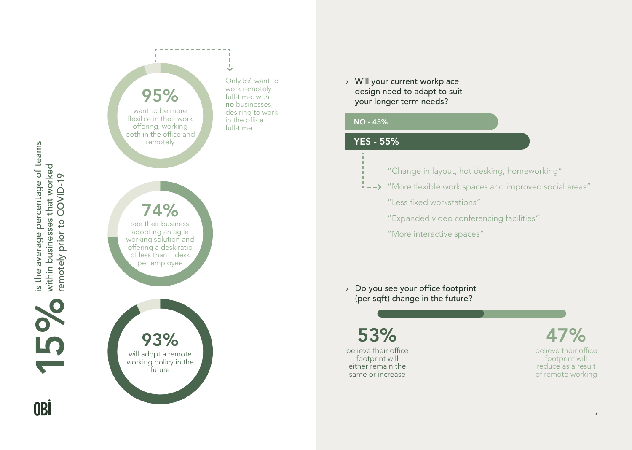

*›* Will your current workplace design need to adapt to suit your longer-term needs?

is the average percentage of teams is the average percentage of teams within businesses that worked within businesses that worked remotely prior to COVID-19 remotely prior to COVID-19 **16** 

OBİ

*›* Do you see your office footprint (per sqft) change in the future?



53% 47%

believe their office footprint will either remain the same or increase

- 
- 
- 
- 
- 



believe their office footprint will reduce as a result of remote working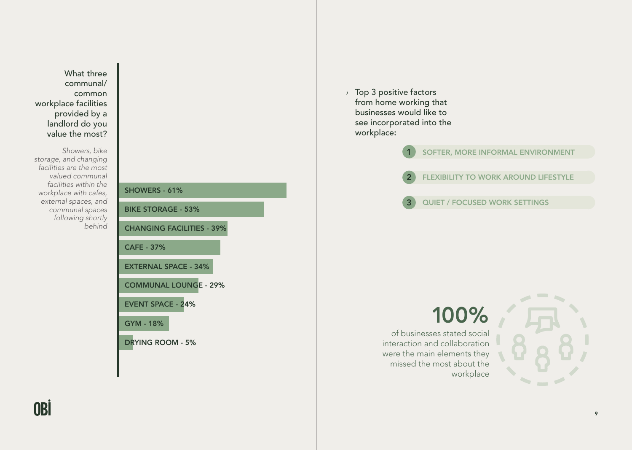

What three communal/ common workplace facilities provided by a landlord do you value the most?

*Showers, bike storage, and changing facilities are the most valued communal facilities within the workplace with cafes, external spaces, and communal spaces following shortly behind*

*›* Top 3 positive factors from home working that businesses would like to see incorporated into the workplace:



### SOFTER, MORE INFORMAL ENVIRONMENT

### FLEXIBILITY TO WORK AROUND LIFESTYLE

### QUIET / FOCUSED WORK SETTINGS

# 100%

of businesses stated social interaction and collaboration were the main elements they missed the most about the

OBİ

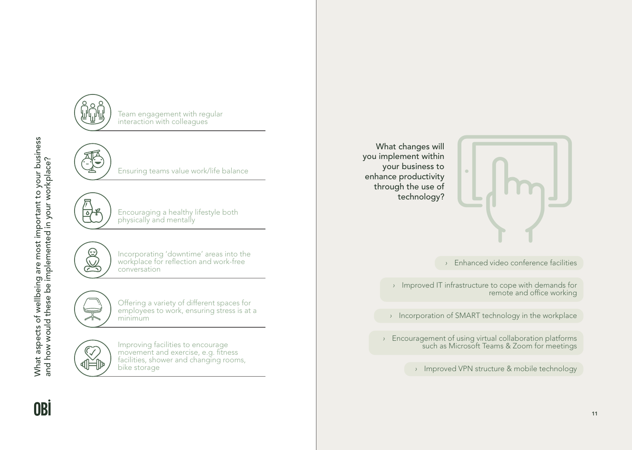What aspects of wellbeing are most important to your business What aspects of wellbeing are most important to your business<br>and how would these be implemented in your workplace? and how would these be implemented in your workplace?

OBI





Team engagement with regular interaction with colleagues



Ensuring teams value work/life balance



Encouraging a healthy lifestyle both physically and mentally



Incorporating 'downtime' areas into the workplace for reflection and work-free conversation



Offering a variety of different spaces for employees to work, ensuring stress is at a minimum



Improving facilities to encourage movement and exercise, e.g. fitness facilities, shower and changing rooms, bike storage

What changes will you implement within your business to enhance productivity through the use of technology?



*›* Enhanced video conference facilities

*›* Improved IT infrastructure to cope with demands for remote and office working

*›* Incorporation of SMART technology in the workplace

*›* Encouragement of using virtual collaboration platforms such as Microsoft Teams & Zoom for meetings

*›* Improved VPN structure & mobile technology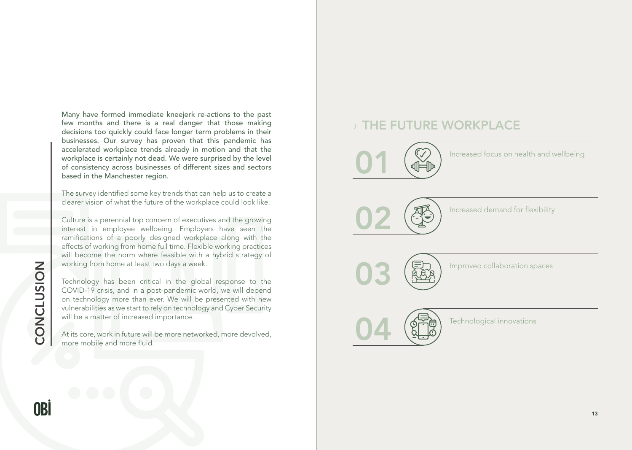Increased focus on health and wellbeing

Increased demand for flexibility

Improved collaboration spaces

Technological innovations

Many have formed immediate kneejerk re-actions to the past few months and there is a real danger that those making decisions too quickly could face longer term problems in their businesses. Our survey has proven that this pandemic has accelerated workplace trends already in motion and that the workplace is certainly not dead. We were surprised by the level of consistency across businesses of different sizes and sectors based in the Manchester region.

The survey identified some key trends that can help us to create a clearer vision of what the future of the workplace could look like.

Culture is a perennial top concern of executives and the growing interest in employee wellbeing. Employers have seen the ramifications of a poorly designed workplace along with the effects of working from home full time. Flexible working practices will become the norm where feasible with a hybrid strategy of working from home at least two days a week.

Technology has been critical in the global response to the COVID-19 crisis, and in a post-pandemic world, we will depend on technology more than ever. We will be presented with new vulnerabilities as we start to rely on technology and Cyber Security will be a matter of increased importance.

At its core, work in future will be more networked, more devolved, more mobile and more fluid.

CONCLUSION

CONCLUSION

# *›* THE FUTURE WORKPLACE







04

OBİ